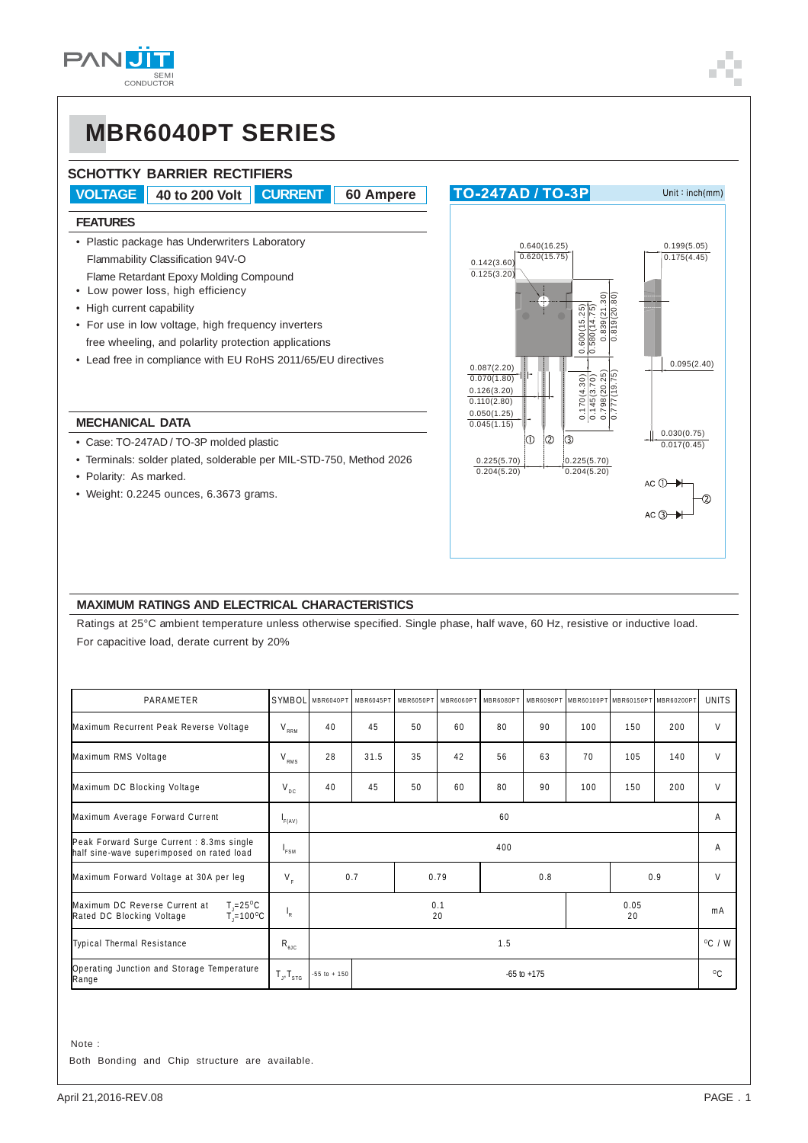# **MBR6040PT SERIES**

### **SCHOTTKY BARRIER RECTIFIERS**

**VOLTAGE 40 to 200 Volt CURRENT 60 Ampere**

#### **FEATURES**

- Plastic package has Underwriters Laboratory Flammability Classification 94V-O Flame Retardant Epoxy Molding Compound
- Low power loss, high efficiency
- High current capability
- For use in low voltage, high frequency inverters free wheeling, and polarlity protection applications
- Lead free in compliance with EU RoHS 2011/65/EU directives

#### **MECHANICAL DATA**

- Case: TO-247AD / TO-3P molded plastic
- Terminals: solder plated, solderable per MIL-STD-750, Method 2026
- Polarity: As marked.
- Weight: 0.2245 ounces, 6.3673 grams.



### **MAXIMUM RATINGS AND ELECTRICAL CHARACTERISTICS**

Ratings at 25°C ambient temperature unless otherwise specified. Single phase, half wave, 60 Hz, resistive or inductive load.

For capacitive load, derate current by 20%

| PARAMETER                                                                                             | SYMBOL              | MBR6040PT MBR6045PT                 |      | MBR6050PT          | MBR6060PT |    |              | MBR6080PT MBR6090PT MBR60100PT MBR60150PT MBR60200PT |     |     | <b>UNITS</b> |
|-------------------------------------------------------------------------------------------------------|---------------------|-------------------------------------|------|--------------------|-----------|----|--------------|------------------------------------------------------|-----|-----|--------------|
| Maximum Recurrent Peak Reverse Voltage                                                                |                     | 40                                  | 45   | 50                 | 60        | 80 | 90           | 100                                                  | 150 | 200 | V            |
| Maximum RMS Voltage                                                                                   | $V_{RMS}$           | 28                                  | 31.5 | 35                 | 42        | 56 | 63           | 70                                                   | 105 | 140 | V            |
| Maximum DC Blocking Voltage                                                                           | $V_{\text{DC}}$     | 40                                  | 45   | 50                 | 60        | 80 | 90           | 100                                                  | 150 | 200 | V            |
| Maximum Average Forward Current                                                                       | F(AV)               | 60                                  |      |                    |           |    | A            |                                                      |     |     |              |
| Peak Forward Surge Current : 8.3ms single<br>half sine-wave superimposed on rated load                | <sup>1</sup> FSM    |                                     | 400  |                    |           |    |              |                                                      | A   |     |              |
| Maximum Forward Voltage at 30A per leg                                                                | $V_F$               |                                     | 0.7  | 0.8<br>0.79<br>0.9 |           |    | V            |                                                      |     |     |              |
| $T = 25^{\circ}C$<br>Maximum DC Reverse Current at<br>$T = 100^{\circ}C$<br>Rated DC Blocking Voltage | $I_R$               | 0.05<br>0.1<br>20<br>20             |      |                    |           |    | mA           |                                                      |     |     |              |
| <b>Typical Thermal Resistance</b>                                                                     | $R_{\text{guc}}$    |                                     | 1.5  |                    |           |    |              | $^{\circ}$ C / W                                     |     |     |              |
| Operating Junction and Storage Temperature<br>Range                                                   | $T_{J}$ , $T_{STG}$ | $-55$ to $+ 150$<br>$-65$ to $+175$ |      |                    |           |    | $^{\circ}$ C |                                                      |     |     |              |

 Note : Both Bonding and Chip structure are available.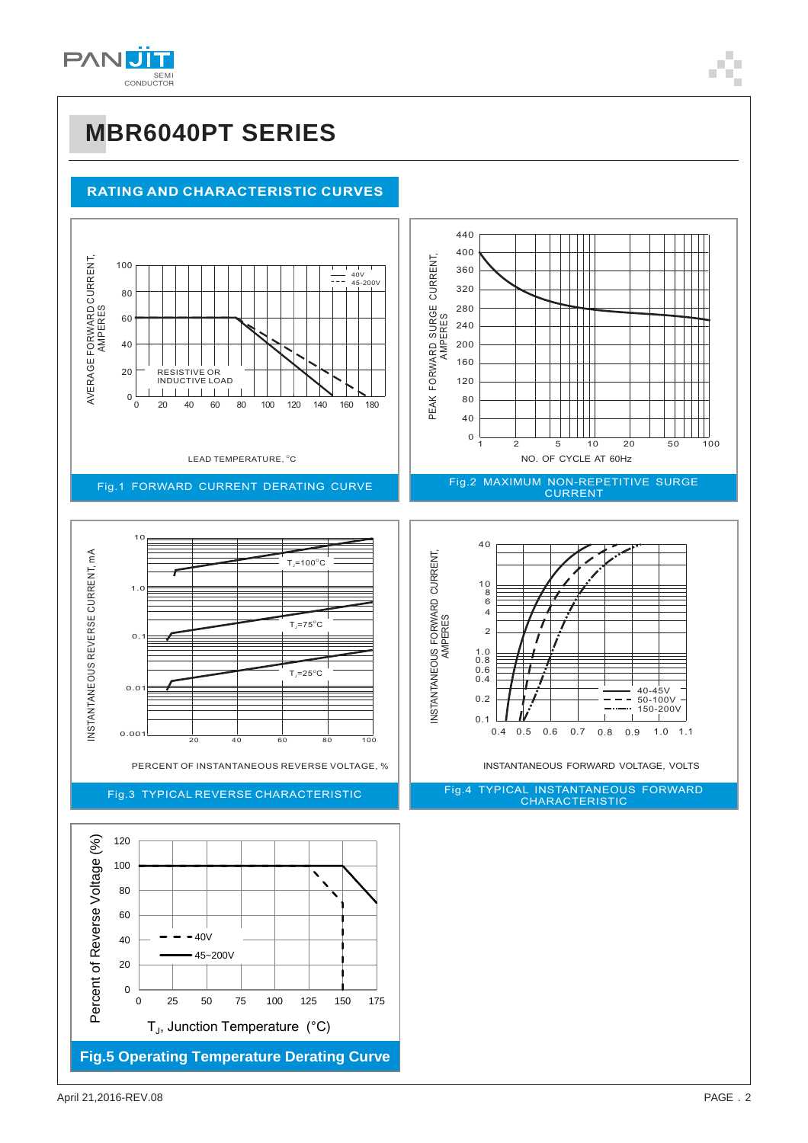

## **MBR6040PT SERIES**

### **RATING AND CHARACTERISTIC CURVES**

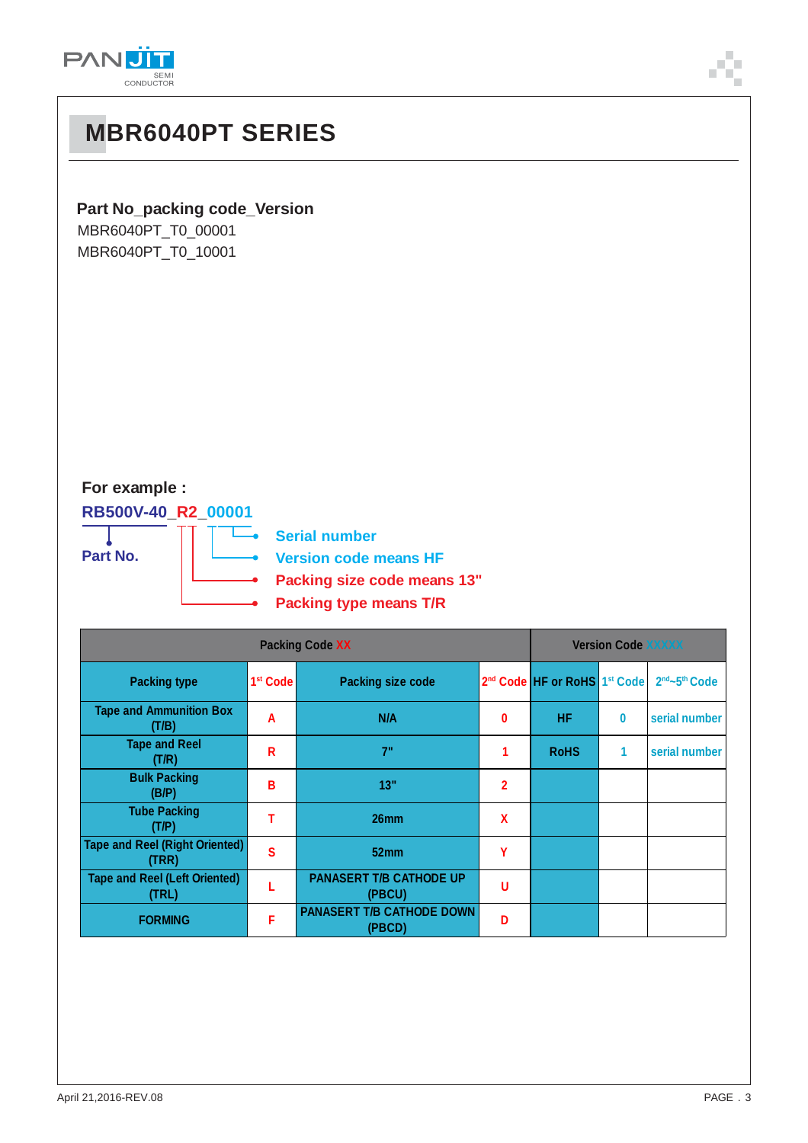

| ,我们也不会有什么。""我们的人,我们也不会有什么?""我们的人,我们也不会有什么?""我们的人,我们也不会有什么?""我们的人,我们也不会有什么?""我们的人 |  | ___ |
|----------------------------------------------------------------------------------|--|-----|

### **Part No\_packing code\_Version**

**MBR6040PT SERIES**

MBR6040PT\_T0\_00001 MBR6040PT\_T0\_10001

## **For example :**

**RB500V-40\_R2\_00001**

**Part No.**

- **Serial number Version code means HF**
	- **Packing size code means 13"**
	- **Packing type means T/R** ò

| <b>Packing Code XX</b>                         |                      |                                            |                | <b>Version Code XXXXX</b>                            |          |                                       |  |
|------------------------------------------------|----------------------|--------------------------------------------|----------------|------------------------------------------------------|----------|---------------------------------------|--|
| <b>Packing type</b>                            | 1 <sup>st</sup> Code | <b>Packing size code</b>                   |                | 2 <sup>nd</sup> Code HF or RoHS 1 <sup>st</sup> Code |          | 2 <sup>nd</sup> ~5 <sup>th</sup> Code |  |
| <b>Tape and Ammunition Box</b><br>(T/B)        | A                    | N/A                                        | 0              | <b>HF</b>                                            | $\bf{0}$ | serial number                         |  |
| <b>Tape and Reel</b><br>(T/R)                  | R                    | 7"                                         |                | <b>RoHS</b>                                          | 1        | serial number                         |  |
| <b>Bulk Packing</b><br>(B/P)                   | В                    | 13"                                        | $\overline{2}$ |                                                      |          |                                       |  |
| <b>Tube Packing</b><br>(T/P)                   |                      | 26 <sub>mm</sub>                           | $\mathbf x$    |                                                      |          |                                       |  |
| <b>Tape and Reel (Right Oriented)</b><br>(TRR) | S                    | 52 <sub>mm</sub>                           | Υ              |                                                      |          |                                       |  |
| <b>Tape and Reel (Left Oriented)</b><br>(TRL)  |                      | <b>PANASERT T/B CATHODE UP</b><br>(PBCU)   | U              |                                                      |          |                                       |  |
| <b>FORMING</b>                                 | F                    | <b>PANASERT T/B CATHODE DOWN</b><br>(PBCD) | Đ              |                                                      |          |                                       |  |